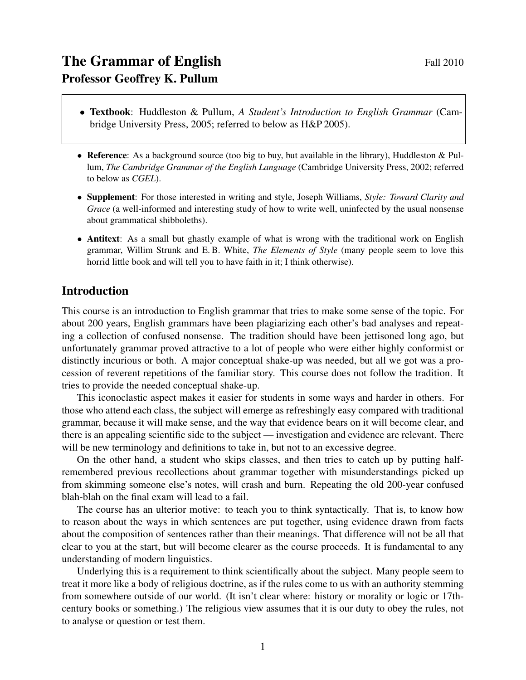- Textbook: Huddleston & Pullum, *A Student's Introduction to English Grammar* (Cambridge University Press, 2005; referred to below as H&P 2005).
- Reference: As a background source (too big to buy, but available in the library), Huddleston & Pullum, *The Cambridge Grammar of the English Language* (Cambridge University Press, 2002; referred to below as *CGEL*).
- Supplement: For those interested in writing and style, Joseph Williams, *Style: Toward Clarity and Grace* (a well-informed and interesting study of how to write well, uninfected by the usual nonsense about grammatical shibboleths).
- Antitext: As a small but ghastly example of what is wrong with the traditional work on English grammar, Willim Strunk and E. B. White, *The Elements of Style* (many people seem to love this horrid little book and will tell you to have faith in it; I think otherwise).

#### Introduction

This course is an introduction to English grammar that tries to make some sense of the topic. For about 200 years, English grammars have been plagiarizing each other's bad analyses and repeating a collection of confused nonsense. The tradition should have been jettisoned long ago, but unfortunately grammar proved attractive to a lot of people who were either highly conformist or distinctly incurious or both. A major conceptual shake-up was needed, but all we got was a procession of reverent repetitions of the familiar story. This course does not follow the tradition. It tries to provide the needed conceptual shake-up.

This iconoclastic aspect makes it easier for students in some ways and harder in others. For those who attend each class, the subject will emerge as refreshingly easy compared with traditional grammar, because it will make sense, and the way that evidence bears on it will become clear, and there is an appealing scientific side to the subject — investigation and evidence are relevant. There will be new terminology and definitions to take in, but not to an excessive degree.

On the other hand, a student who skips classes, and then tries to catch up by putting halfremembered previous recollections about grammar together with misunderstandings picked up from skimming someone else's notes, will crash and burn. Repeating the old 200-year confused blah-blah on the final exam will lead to a fail.

The course has an ulterior motive: to teach you to think syntactically. That is, to know how to reason about the ways in which sentences are put together, using evidence drawn from facts about the composition of sentences rather than their meanings. That difference will not be all that clear to you at the start, but will become clearer as the course proceeds. It is fundamental to any understanding of modern linguistics.

Underlying this is a requirement to think scientifically about the subject. Many people seem to treat it more like a body of religious doctrine, as if the rules come to us with an authority stemming from somewhere outside of our world. (It isn't clear where: history or morality or logic or 17thcentury books or something.) The religious view assumes that it is our duty to obey the rules, not to analyse or question or test them.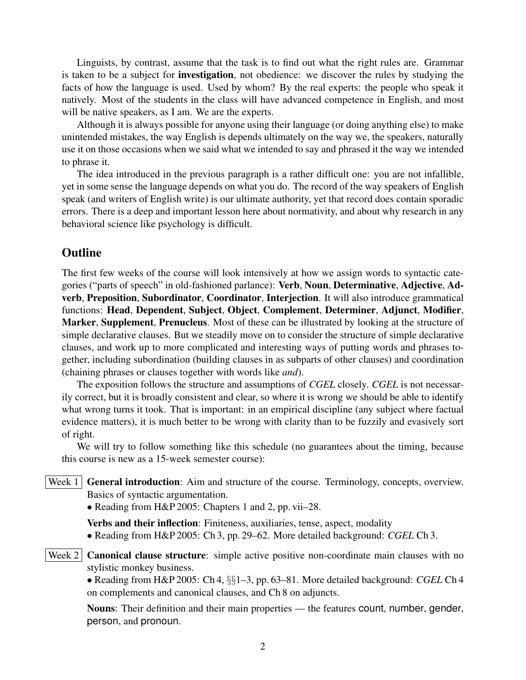Linguists, by contrast, assume that the task is to find out what the right rules are. Grammar is taken to be a subject for investigation, not obedience: we discover the rules by studying the facts of how the language is used. Used by whom? By the real experts: the people who speak it natively. Most of the students in the class will have advanced competence in English, and most will be native speakers, as I am. We are the experts.

Although it is always possible for anyone using their language (or doing anything else) to make unintended mistakes, the way English is depends ultimately on the way we, the speakers, naturally use it on those occasions when we said what we intended to say and phrased it the way we intended to phrase it.

The idea introduced in the previous paragraph is a rather difficult one: you are not infallible, yet in some sense the language depends on what you do. The record of the way speakers of English speak (and writers of English write) is our ultimate authority, yet that record does contain sporadic errors. There is a deep and important lesson here about normativity, and about why research in any behavioral science like psychology is difficult.

#### **Outline**

The first few weeks of the course will look intensively at how we assign words to syntactic categories ("parts of speech" in old-fashioned parlance): Verb, Noun, Determinative, Adjective, Adverb, Preposition, Subordinator, Coordinator, Interjection. It will also introduce grammatical functions: Head, Dependent, Subject, Object, Complement, Determiner, Adjunct, Modifier, Marker, Supplement, Prenucleus. Most of these can be illustrated by looking at the structure of simple declarative clauses. But we steadily move on to consider the structure of simple declarative clauses, and work up to more complicated and interesting ways of putting words and phrases together, including subordination (building clauses in as subparts of other clauses) and coordination (chaining phrases or clauses together with words like *and*).

The exposition follows the structure and assumptions of *CGEL* closely. *CGEL* is not necessarily correct, but it is broadly consistent and clear, so where it is wrong we should be able to identify what wrong turns it took. That is important: in an empirical discipline (any subject where factual evidence matters), it is much better to be wrong with clarity than to be fuzzily and evasively sort of right.

We will try to follow something like this schedule (no guarantees about the timing, because this course is new as a 15-week semester course):

Week  $1 \mid$  **General introduction**: Aim and structure of the course. Terminology, concepts, overview. Basics of syntactic argumentation.

• Reading from H&P 2005: Chapters 1 and 2, pp. vii–28.

Verbs and their inflection: Finiteness, auxiliaries, tense, aspect, modality

• Reading from H&P 2005: Ch 3, pp. 29–62. More detailed background: *CGEL* Ch 3.

Week  $2$  Canonical clause structure: simple active positive non-coordinate main clauses with no stylistic monkey business.

• Reading from H&P 2005: Ch 4, §§1–3, pp. 63–81. More detailed background: *CGEL* Ch 4 on complements and canonical clauses, and Ch 8 on adjuncts.

Nouns: Their definition and their main properties — the features count, number, gender, person, and pronoun.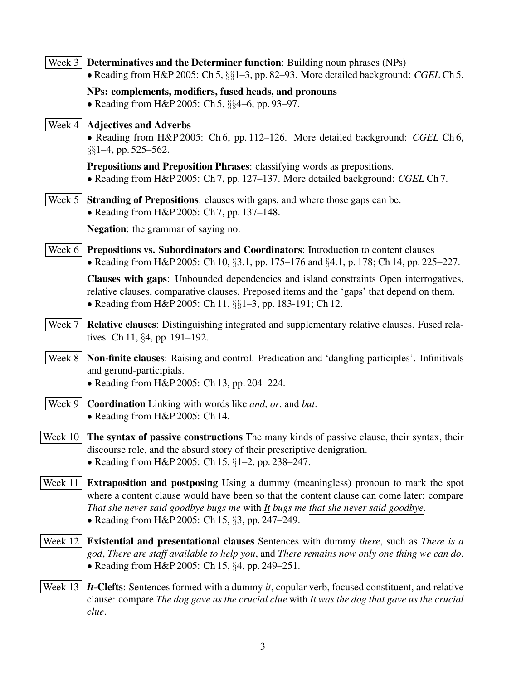|          | Week $3$ Determinatives and the Determiner function: Building noun phrases (NPs)<br>• Reading from H&P 2005: Ch 5, $\S\S1-3$ , pp. 82-93. More detailed background: CGEL Ch 5.                                                                                                                                                       |
|----------|--------------------------------------------------------------------------------------------------------------------------------------------------------------------------------------------------------------------------------------------------------------------------------------------------------------------------------------|
|          | NPs: complements, modifiers, fused heads, and pronouns<br>• Reading from H&P 2005: Ch 5, §§4-6, pp. 93-97.                                                                                                                                                                                                                           |
| Week $4$ | <b>Adjectives and Adverbs</b><br>• Reading from H&P 2005: Ch 6, pp. 112–126. More detailed background: CGEL Ch 6,<br>$\S\S1-4$ , pp. 525-562.                                                                                                                                                                                        |
|          | Prepositions and Preposition Phrases: classifying words as prepositions.<br>• Reading from H&P 2005: Ch 7, pp. 127–137. More detailed background: CGEL Ch 7.                                                                                                                                                                         |
| Week $5$ | Stranding of Prepositions: clauses with gaps, and where those gaps can be.<br>• Reading from $H\&P 2005$ : Ch 7, pp. 137–148.                                                                                                                                                                                                        |
|          | <b>Negation:</b> the grammar of saying no.                                                                                                                                                                                                                                                                                           |
| Week $6$ | Prepositions vs. Subordinators and Coordinators: Introduction to content clauses<br>• Reading from H&P 2005: Ch 10, §3.1, pp. 175–176 and §4.1, p. 178; Ch 14, pp. 225–227.                                                                                                                                                          |
|          | Clauses with gaps: Unbounded dependencies and island constraints Open interrogatives,<br>relative clauses, comparative clauses. Preposed items and the 'gaps' that depend on them.<br>• Reading from H&P 2005: Ch 11, §§1-3, pp. 183-191; Ch 12.                                                                                     |
| Week 7   | <b>Relative clauses:</b> Distinguishing integrated and supplementary relative clauses. Fused rela-<br>tives. Ch 11, $\S 4$ , pp. 191–192.                                                                                                                                                                                            |
|          | Week 8   Non-finite clauses: Raising and control. Predication and 'dangling participles'. Infinitivals<br>and gerund-participials.<br>• Reading from H&P 2005: Ch 13, pp. 204-224.                                                                                                                                                   |
| Week $9$ | <b>Coordination</b> Linking with words like <i>and</i> , <i>or</i> , and <i>but</i> .<br>• Reading from H&P 2005: Ch 14.                                                                                                                                                                                                             |
|          | Week $10$ The syntax of passive constructions The many kinds of passive clause, their syntax, their<br>discourse role, and the absurd story of their prescriptive denigration.<br>• Reading from H&P 2005: Ch 15, $\S1-2$ , pp. 238-247.                                                                                             |
| Week 11  | <b>Extraposition and postposing</b> Using a dummy (meaningless) pronoun to mark the spot<br>where a content clause would have been so that the content clause can come later: compare<br>That she never said goodbye bugs me with $I$ t bugs me that she never said goodbye.<br>• Reading from H&P 2005: Ch 15, $\S3$ , pp. 247–249. |
| Week 12  | <b>Existential and presentational clauses</b> Sentences with dummy <i>there</i> , such as <i>There is a</i><br>god, There are staff available to help you, and There remains now only one thing we can do.<br>• Reading from H&P 2005: Ch 15, §4, pp. 249-251.                                                                       |
| Week 13  | <i>It</i> -Clefts: Sentences formed with a dummy <i>it</i> , copular verb, focused constituent, and relative<br>clause: compare The dog gave us the crucial clue with It was the dog that gave us the crucial<br>clue.                                                                                                               |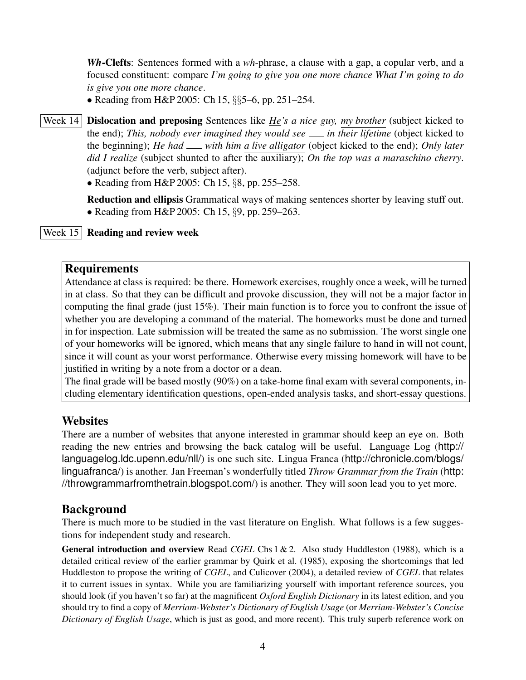*Wh*-Clefts: Sentences formed with a *wh*-phrase, a clause with a gap, a copular verb, and a focused constituent: compare *I'm going to give you one more chance What I'm going to do is give you one more chance*.

• Reading from H&P 2005: Ch 15, §§5–6, pp. 251–254.

Week 14 **Dislocation and preposing** Sentences like *He's a nice guy, my brother* (subject kicked to the end); *This, nobody ever imagined they would see in their lifetime* (object kicked to the beginning); *He had with him a live alligator* (object kicked to the end); *Only later did I realize* (subject shunted to after the auxiliary); *On the top was a maraschino cherry*. (adjunct before the verb, subject after).

• Reading from H&P 2005: Ch 15, §8, pp. 255–258.

Reduction and ellipsis Grammatical ways of making sentences shorter by leaving stuff out. • Reading from H&P 2005: Ch 15, §9, pp. 259–263.

### Week 15 Reading and review week

### Requirements

Attendance at class is required: be there. Homework exercises, roughly once a week, will be turned in at class. So that they can be difficult and provoke discussion, they will not be a major factor in computing the final grade (just 15%). Their main function is to force you to confront the issue of whether you are developing a command of the material. The homeworks must be done and turned in for inspection. Late submission will be treated the same as no submission. The worst single one of your homeworks will be ignored, which means that any single failure to hand in will not count, since it will count as your worst performance. Otherwise every missing homework will have to be justified in writing by a note from a doctor or a dean.

The final grade will be based mostly (90%) on a take-home final exam with several components, including elementary identification questions, open-ended analysis tasks, and short-essay questions.

# **Websites**

There are a number of websites that anyone interested in grammar should keep an eye on. Both reading the new entries and browsing the back catalog will be useful. Language Log (http:// languagelog.ldc.upenn.edu/nll/) is one such site. Lingua Franca (http://chronicle.com/blogs/ linguafranca/) is another. Jan Freeman's wonderfully titled *Throw Grammar from the Train* (http: //throwgrammarfromthetrain.blogspot.com/) is another. They will soon lead you to yet more.

# Background

There is much more to be studied in the vast literature on English. What follows is a few suggestions for independent study and research.

General introduction and overview Read *CGEL* Chs 1 & 2. Also study Huddleston (1988), which is a detailed critical review of the earlier grammar by Quirk et al. (1985), exposing the shortcomings that led Huddleston to propose the writing of *CGEL*, and Culicover (2004), a detailed review of *CGEL* that relates it to current issues in syntax. While you are familiarizing yourself with important reference sources, you should look (if you haven't so far) at the magnificent *Oxford English Dictionary* in its latest edition, and you should try to find a copy of *Merriam-Webster's Dictionary of English Usage* (or *Merriam-Webster's Concise Dictionary of English Usage*, which is just as good, and more recent). This truly superb reference work on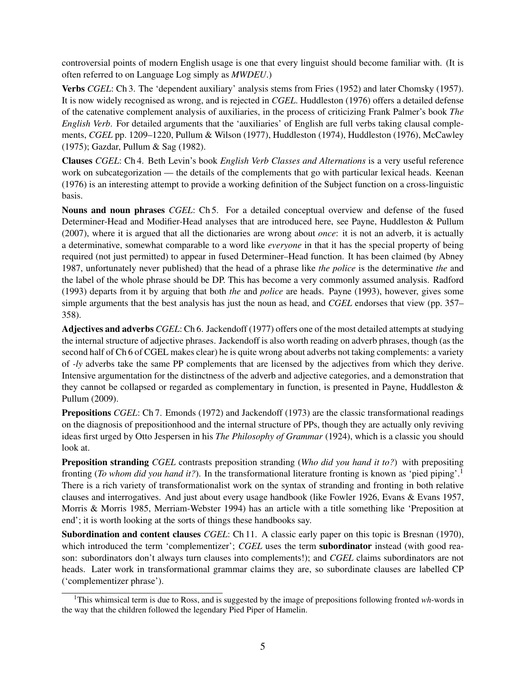controversial points of modern English usage is one that every linguist should become familiar with. (It is often referred to on Language Log simply as *MWDEU*.)

Verbs *CGEL*: Ch 3. The 'dependent auxiliary' analysis stems from Fries (1952) and later Chomsky (1957). It is now widely recognised as wrong, and is rejected in *CGEL*. Huddleston (1976) offers a detailed defense of the catenative complement analysis of auxiliaries, in the process of criticizing Frank Palmer's book *The English Verb*. For detailed arguments that the 'auxiliaries' of English are full verbs taking clausal complements, *CGEL* pp. 1209–1220, Pullum & Wilson (1977), Huddleston (1974), Huddleston (1976), McCawley (1975); Gazdar, Pullum & Sag (1982).

Clauses *CGEL*: Ch 4. Beth Levin's book *English Verb Classes and Alternations* is a very useful reference work on subcategorization — the details of the complements that go with particular lexical heads. Keenan (1976) is an interesting attempt to provide a working definition of the Subject function on a cross-linguistic basis.

Nouns and noun phrases *CGEL*: Ch 5. For a detailed conceptual overview and defense of the fused Determiner-Head and Modifier-Head analyses that are introduced here, see Payne, Huddleston & Pullum (2007), where it is argued that all the dictionaries are wrong about *once*: it is not an adverb, it is actually a determinative, somewhat comparable to a word like *everyone* in that it has the special property of being required (not just permitted) to appear in fused Determiner–Head function. It has been claimed (by Abney 1987, unfortunately never published) that the head of a phrase like *the police* is the determinative *the* and the label of the whole phrase should be DP. This has become a very commonly assumed analysis. Radford (1993) departs from it by arguing that both *the* and *police* are heads. Payne (1993), however, gives some simple arguments that the best analysis has just the noun as head, and *CGEL* endorses that view (pp. 357– 358).

Adjectives and adverbs *CGEL*: Ch 6. Jackendoff (1977) offers one of the most detailed attempts at studying the internal structure of adjective phrases. Jackendoff is also worth reading on adverb phrases, though (as the second half of Ch 6 of CGEL makes clear) he is quite wrong about adverbs not taking complements: a variety of *-ly* adverbs take the same PP complements that are licensed by the adjectives from which they derive. Intensive argumentation for the distinctness of the adverb and adjective categories, and a demonstration that they cannot be collapsed or regarded as complementary in function, is presented in Payne, Huddleston & Pullum (2009).

Prepositions *CGEL*: Ch 7. Emonds (1972) and Jackendoff (1973) are the classic transformational readings on the diagnosis of prepositionhood and the internal structure of PPs, though they are actually only reviving ideas first urged by Otto Jespersen in his *The Philosophy of Grammar* (1924), which is a classic you should look at.

Preposition stranding *CGEL* contrasts preposition stranding (*Who did you hand it to?*) with prepositing fronting (*To whom did you hand it?*). In the transformational literature fronting is known as 'pied piping'.<sup>1</sup> There is a rich variety of transformationalist work on the syntax of stranding and fronting in both relative clauses and interrogatives. And just about every usage handbook (like Fowler 1926, Evans & Evans 1957, Morris & Morris 1985, Merriam-Webster 1994) has an article with a title something like 'Preposition at end'; it is worth looking at the sorts of things these handbooks say.

Subordination and content clauses *CGEL*: Ch 11. A classic early paper on this topic is Bresnan (1970), which introduced the term 'complementizer'; *CGEL* uses the term **subordinator** instead (with good reason: subordinators don't always turn clauses into complements!); and *CGEL* claims subordinators are not heads. Later work in transformational grammar claims they are, so subordinate clauses are labelled CP ('complementizer phrase').

<sup>&</sup>lt;sup>1</sup>This whimsical term is due to Ross, and is suggested by the image of prepositions following fronted *wh*-words in the way that the children followed the legendary Pied Piper of Hamelin.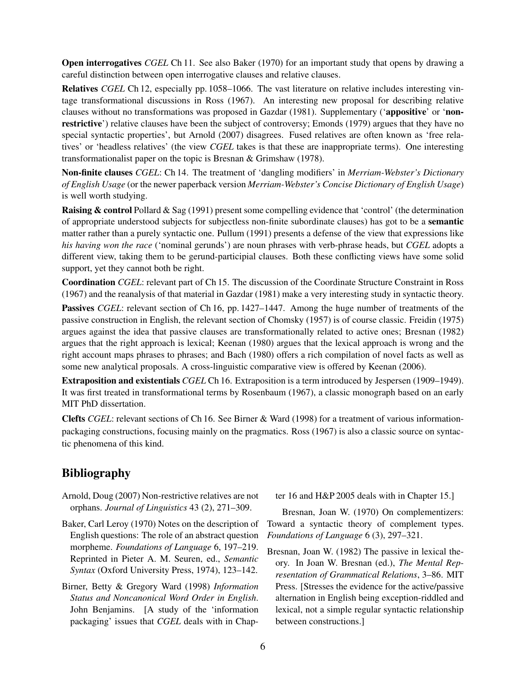**Open interrogatives** *CGEL* Ch 11. See also Baker (1970) for an important study that opens by drawing a careful distinction between open interrogative clauses and relative clauses.

Relatives *CGEL* Ch 12, especially pp. 1058–1066. The vast literature on relative includes interesting vintage transformational discussions in Ross (1967). An interesting new proposal for describing relative clauses without no transformations was proposed in Gazdar (1981). Supplementary ('appositive' or 'nonrestrictive') relative clauses have been the subject of controversy; Emonds (1979) argues that they have no special syntactic properties', but Arnold (2007) disagrees. Fused relatives are often known as 'free relatives' or 'headless relatives' (the view *CGEL* takes is that these are inappropriate terms). One interesting transformationalist paper on the topic is Bresnan & Grimshaw (1978).

Non-finite clauses *CGEL*: Ch 14. The treatment of 'dangling modifiers' in *Merriam-Webster's Dictionary of English Usage* (or the newer paperback version *Merriam-Webster's Concise Dictionary of English Usage*) is well worth studying.

**Raising & control** Pollard & Sag (1991) present some compelling evidence that 'control' (the determination of appropriate understood subjects for subjectless non-finite subordinate clauses) has got to be a semantic matter rather than a purely syntactic one. Pullum (1991) presents a defense of the view that expressions like *his having won the race* ('nominal gerunds') are noun phrases with verb-phrase heads, but *CGEL* adopts a different view, taking them to be gerund-participial clauses. Both these conflicting views have some solid support, yet they cannot both be right.

Coordination *CGEL*: relevant part of Ch 15. The discussion of the Coordinate Structure Constraint in Ross (1967) and the reanalysis of that material in Gazdar (1981) make a very interesting study in syntactic theory.

**Passives** *CGEL*: relevant section of Ch 16, pp. 1427–1447. Among the huge number of treatments of the passive construction in English, the relevant section of Chomsky (1957) is of course classic. Freidin (1975) argues against the idea that passive clauses are transformationally related to active ones; Bresnan (1982) argues that the right approach is lexical; Keenan (1980) argues that the lexical approach is wrong and the right account maps phrases to phrases; and Bach (1980) offers a rich compilation of novel facts as well as some new analytical proposals. A cross-linguistic comparative view is offered by Keenan (2006).

Extraposition and existentials *CGEL* Ch 16. Extraposition is a term introduced by Jespersen (1909–1949). It was first treated in transformational terms by Rosenbaum (1967), a classic monograph based on an early MIT PhD dissertation.

Clefts *CGEL*: relevant sections of Ch 16. See Birner & Ward (1998) for a treatment of various informationpackaging constructions, focusing mainly on the pragmatics. Ross (1967) is also a classic source on syntactic phenomena of this kind.

# Bibliography

- Arnold, Doug (2007) Non-restrictive relatives are not orphans. *Journal of Linguistics* 43 (2), 271–309.
- Baker, Carl Leroy (1970) Notes on the description of English questions: The role of an abstract question morpheme. *Foundations of Language* 6, 197–219. Reprinted in Pieter A. M. Seuren, ed., *Semantic Syntax* (Oxford University Press, 1974), 123–142.
- Birner, Betty & Gregory Ward (1998) *Information Status and Noncanonical Word Order in English*. John Benjamins. [A study of the 'information packaging' issues that *CGEL* deals with in Chap-

ter 16 and H&P 2005 deals with in Chapter 15.]

Bresnan, Joan W. (1970) On complementizers: Toward a syntactic theory of complement types. *Foundations of Language* 6 (3), 297–321.

Bresnan, Joan W. (1982) The passive in lexical theory. In Joan W. Bresnan (ed.), *The Mental Representation of Grammatical Relations*, 3–86. MIT Press. [Stresses the evidence for the active/passive alternation in English being exception-riddled and lexical, not a simple regular syntactic relationship between constructions.]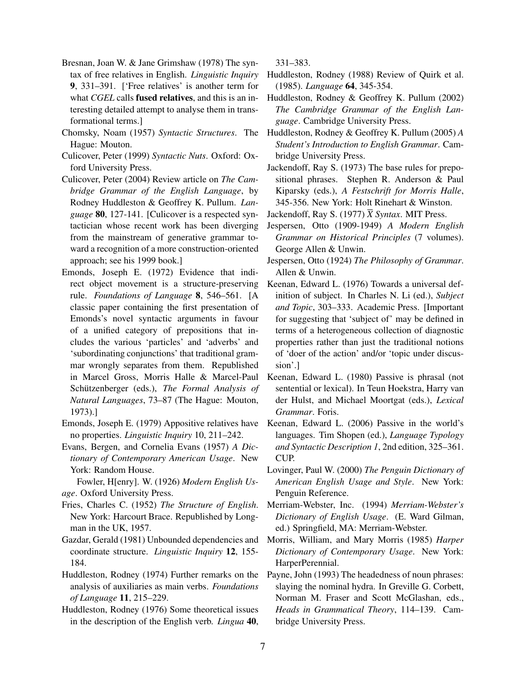- Bresnan, Joan W. & Jane Grimshaw (1978) The syntax of free relatives in English. *Linguistic Inquiry* 9, 331–391. ['Free relatives' is another term for what *CGEL* calls fused relatives, and this is an interesting detailed attempt to analyse them in transformational terms.]
- Chomsky, Noam (1957) *Syntactic Structures*. The Huddleston, Rodney & Geoffrey K. Pullum (2005) *A* Hague: Mouton.
- Culicover, Peter (1999) *Syntactic Nuts*. Oxford: Oxford University Press.
- Culicover, Peter (2004) Review article on *The Cambridge Grammar of the English Language*, by Rodney Huddleston & Geoffrey K. Pullum. *Language* 80, 127-141. [Culicover is a respected syntactician whose recent work has been diverging from the mainstream of generative grammar toward a recognition of a more construction-oriented approach; see his 1999 book.]
- Emonds, Joseph E. (1972) Evidence that indirect object movement is a structure-preserving rule. *Foundations of Language* 8, 546–561. [A classic paper containing the first presentation of Emonds's novel syntactic arguments in favour of a unified category of prepositions that includes the various 'particles' and 'adverbs' and 'subordinating conjunctions' that traditional grammar wrongly separates from them. Republished in Marcel Gross, Morris Halle & Marcel-Paul Schützenberger (eds.), *The Formal Analysis of Natural Languages*, 73–87 (The Hague: Mouton, 1973).]
- Emonds, Joseph E. (1979) Appositive relatives have no properties. *Linguistic Inquiry* 10, 211–242.
- Evans, Bergen, and Cornelia Evans (1957) *A Dictionary of Contemporary American Usage*. New York: Random House.

Fowler, H[enry]. W. (1926) *Modern English Usage*. Oxford University Press.

- Fries, Charles C. (1952) *The Structure of English*. New York: Harcourt Brace. Republished by Longman in the UK, 1957.
- Gazdar, Gerald (1981) Unbounded dependencies and coordinate structure. *Linguistic Inquiry* 12, 155- 184.
- Huddleston, Rodney (1974) Further remarks on the analysis of auxiliaries as main verbs. *Foundations of Language* 11, 215–229.
- Huddleston, Rodney (1976) Some theoretical issues in the description of the English verb. *Lingua* 40,

331–383.

- Huddleston, Rodney (1988) Review of Quirk et al. (1985). *Language* 64, 345-354.
- Huddleston, Rodney & Geoffrey K. Pullum (2002) *The Cambridge Grammar of the English Language*. Cambridge University Press.
- *Student's Introduction to English Grammar*. Cambridge University Press.
- Jackendoff, Ray S. (1973) The base rules for prepositional phrases. Stephen R. Anderson & Paul Kiparsky (eds.), *A Festschrift for Morris Halle*, 345-356. New York: Holt Rinehart & Winston.
- Jackendoff, Ray S. (1977)  $\overline{X}$  *Syntax*. MIT Press.
- Jespersen, Otto (1909-1949) *A Modern English Grammar on Historical Principles* (7 volumes). George Allen & Unwin.
- Jespersen, Otto (1924) *The Philosophy of Grammar*. Allen & Unwin.
- Keenan, Edward L. (1976) Towards a universal definition of subject. In Charles N. Li (ed.), *Subject and Topic*, 303–333. Academic Press. [Important for suggesting that 'subject of' may be defined in terms of a heterogeneous collection of diagnostic properties rather than just the traditional notions of 'doer of the action' and/or 'topic under discussion'.]
- Keenan, Edward L. (1980) Passive is phrasal (not sentential or lexical). In Teun Hoekstra, Harry van der Hulst, and Michael Moortgat (eds.), *Lexical Grammar*. Foris.
- Keenan, Edward L. (2006) Passive in the world's languages. Tim Shopen (ed.), *Language Typology and Syntactic Description 1*, 2nd edition, 325–361. CUP.
- Lovinger, Paul W. (2000) *The Penguin Dictionary of American English Usage and Style*. New York: Penguin Reference.
- Merriam-Webster, Inc. (1994) *Merriam-Webster's Dictionary of English Usage*. (E. Ward Gilman, ed.) Springfield, MA: Merriam-Webster.
- Morris, William, and Mary Morris (1985) *Harper Dictionary of Contemporary Usage*. New York: HarperPerennial.
- Payne, John (1993) The headedness of noun phrases: slaying the nominal hydra. In Greville G. Corbett, Norman M. Fraser and Scott McGlashan, eds., *Heads in Grammatical Theory*, 114–139. Cambridge University Press.